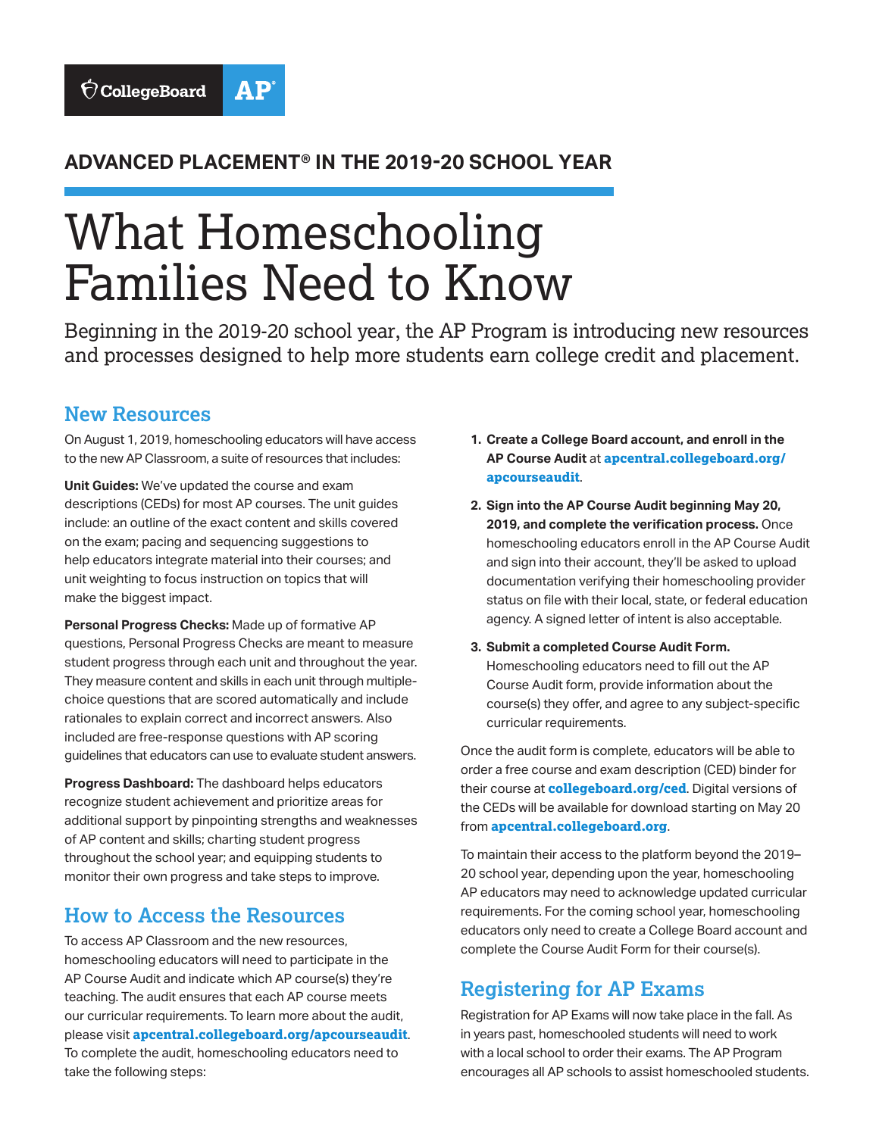#### **ADVANCED PLACEMENT® IN THE 2019-20 SCHOOL YEAR**

# What Homeschooling Families Need to Know

Beginning in the 2019-20 school year, the AP Program is introducing new resources and processes designed to help more students earn college credit and placement.

#### **New Resources**

On August 1, 2019, homeschooling educators will have access to the new AP Classroom, a suite of resources that includes:

**Unit Guides:** We've updated the course and exam descriptions (CEDs) for most AP courses. The unit guides include: an outline of the exact content and skills covered on the exam; pacing and sequencing suggestions to help educators integrate material into their courses; and unit weighting to focus instruction on topics that will make the biggest impact.

**Personal Progress Checks:** Made up of formative AP questions, Personal Progress Checks are meant to measure student progress through each unit and throughout the year. They measure content and skills in each unit through multiplechoice questions that are scored automatically and include rationales to explain correct and incorrect answers. Also included are free-response questions with AP scoring guidelines that educators can use to evaluate student answers.

**Progress Dashboard:** The dashboard helps educators recognize student achievement and prioritize areas for additional support by pinpointing strengths and weaknesses of AP content and skills; charting student progress throughout the school year; and equipping students to monitor their own progress and take steps to improve.

#### **How to Access the Resources**

To access AP Classroom and the new resources, homeschooling educators will need to participate in the AP Course Audit and indicate which AP course(s) they're teaching. The audit ensures that each AP course meets our curricular requirements. To learn more about the audit, please visit **apcentral.collegeboard.org/apcourseaudit**. To complete the audit, homeschooling educators need to take the following steps:

- **1. Create a College Board account, and enroll in the AP Course Audit** at **apcentral.collegeboard.org/ apcourseaudit**.
- **2. Sign into the AP Course Audit beginning May 20, 2019, and complete the verification process.** Once homeschooling educators enroll in the AP Course Audit and sign into their account, they'll be asked to upload documentation verifying their homeschooling provider status on file with their local, state, or federal education agency. A signed letter of intent is also acceptable.
- **3. Submit a completed Course Audit Form.** Homeschooling educators need to fill out the AP Course Audit form, provide information about the course(s) they offer, and agree to any subject-specific curricular requirements.

Once the audit form is complete, educators will be able to order a free course and exam description (CED) binder for their course at **collegeboard.org/ced**. Digital versions of the CEDs will be available for download starting on May 20 from **apcentral.collegeboard.org**.

To maintain their access to the platform beyond the 2019– 20 school year, depending upon the year, homeschooling AP educators may need to acknowledge updated curricular requirements. For the coming school year, homeschooling educators only need to create a College Board account and complete the Course Audit Form for their course(s).

### **Registering for AP Exams**

Registration for AP Exams will now take place in the fall. As in years past, homeschooled students will need to work with a local school to order their exams. The AP Program encourages all AP schools to assist homeschooled students.